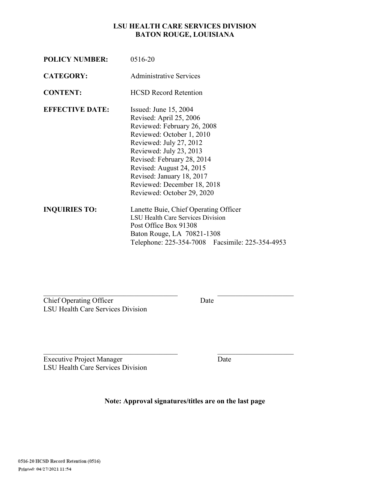### **LSU HEALTH CARE SERVICES DIVISION BATON ROUGE, LOUISIANA**

| <b>POLICY NUMBER:</b>  | 0516-20                                                                                                                                                                                                                                                                                                                  |
|------------------------|--------------------------------------------------------------------------------------------------------------------------------------------------------------------------------------------------------------------------------------------------------------------------------------------------------------------------|
| <b>CATEGORY:</b>       | <b>Administrative Services</b>                                                                                                                                                                                                                                                                                           |
| <b>CONTENT:</b>        | <b>HCSD Record Retention</b>                                                                                                                                                                                                                                                                                             |
| <b>EFFECTIVE DATE:</b> | Issued: June $15, 2004$<br>Revised: April 25, 2006<br>Reviewed: February 26, 2008<br>Reviewed: October 1, 2010<br>Reviewed: July 27, 2012<br>Reviewed: July 23, 2013<br>Revised: February 28, 2014<br>Revised: August 24, 2015<br>Revised: January 18, 2017<br>Reviewed: December 18, 2018<br>Reviewed: October 29, 2020 |
| <b>INQUIRIES TO:</b>   | Lanette Buie, Chief Operating Officer<br><b>LSU Health Care Services Division</b><br>Post Office Box 91308<br>Baton Rouge, LA 70821-1308<br>Telephone: 225-354-7008  Facsimile: 225-354-4953                                                                                                                             |

The Chief Operating Officer Date LSU Health Care Services Division

Executive Project Manager Date LSU Health Care Services Division

**Note: Approval signatures/titles are on the last page** 

 $\mathcal{L}_\text{max}$  , and the contract of the contract of the contract of the contract of the contract of the contract of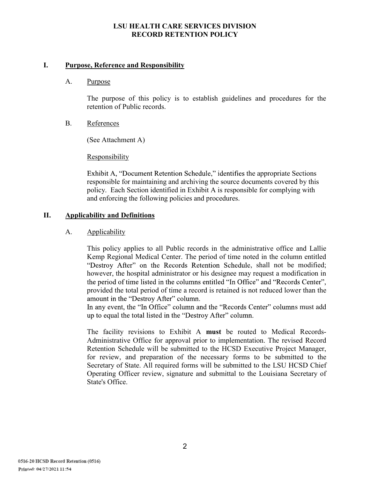### **LSU HEALTH CARE SERVICES DIVISION RECORD RETENTION POLICY**

### **I. Purpose, Reference and Responsibility**

### A. Purpose

The purpose of this policy is to establish guidelines and procedures for the retention of Public records.

### B. References

(See Attachment A)

### **Responsibility**

Exhibit A, "Document Retention Schedule," identifies the appropriate Sections responsible for maintaining and archiving the source documents covered by this policy. Each Section identified in Exhibit A is responsible for complying with and enforcing the following policies and procedures.

## **II. Applicability and Definitions**

### A. Applicability

This policy applies to all Public records in the administrative office and Lallie Kemp Regional Medical Center. The period of time noted in the column entitled "Destroy After" on the Records Retention Schedule, shall not be modified; however, the hospital administrator or his designee may request a modification in the period of time listed in the columns entitled "In Office" and "Records Center", provided the total period of time a record is retained is not reduced lower than the amount in the "Destroy After" column.

In any event, the "In Office" column and the "Records Center" columns must add up to equal the total listed in the "Destroy After" column.

The facility revisions to Exhibit A **must** be routed to Medical Records-Administrative Office for approval prior to implementation. The revised Record Retention Schedule will be submitted to the HCSD Executive Project Manager, for review, and preparation of the necessary forms to be submitted to the Secretary of State. All required forms will be submitted to the LSU HCSD Chief Operating Officer review, signature and submittal to the Louisiana Secretary of State's Office.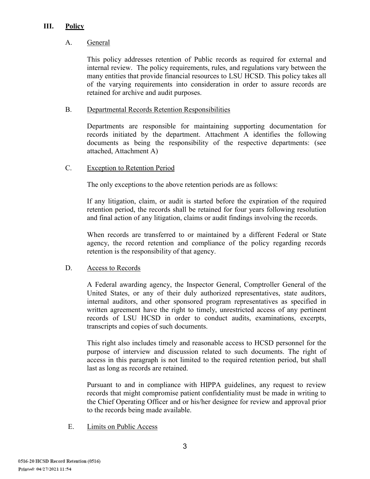## **III. Policy**

## A. General

This policy addresses retention of Public records as required for external and internal review. The policy requirements, rules, and regulations vary between the many entities that provide financial resources to LSU HCSD. This policy takes all of the varying requirements into consideration in order to assure records are retained for archive and audit purposes.

## B. Departmental Records Retention Responsibilities

Departments are responsible for maintaining supporting documentation for records initiated by the department. Attachment A identifies the following documents as being the responsibility of the respective departments: (see attached, Attachment A)

## C. Exception to Retention Period

The only exceptions to the above retention periods are as follows:

If any litigation, claim, or audit is started before the expiration of the required retention period, the records shall be retained for four years following resolution and final action of any litigation, claims or audit findings involving the records.

When records are transferred to or maintained by a different Federal or State agency, the record retention and compliance of the policy regarding records retention is the responsibility of that agency.

# D. Access to Records

A Federal awarding agency, the Inspector General, Comptroller General of the United States, or any of their duly authorized representatives, state auditors, internal auditors, and other sponsored program representatives as specified in written agreement have the right to timely, unrestricted access of any pertinent records of LSU HCSD in order to conduct audits, examinations, excerpts, transcripts and copies of such documents.

This right also includes timely and reasonable access to HCSD personnel for the purpose of interview and discussion related to such documents. The right of access in this paragraph is not limited to the required retention period, but shall last as long as records are retained.

Pursuant to and in compliance with HIPPA guidelines, any request to review records that might compromise patient confidentiality must be made in writing to the Chief Operating Officer and or his/her designee for review and approval prior to the records being made available.

## E. Limits on Public Access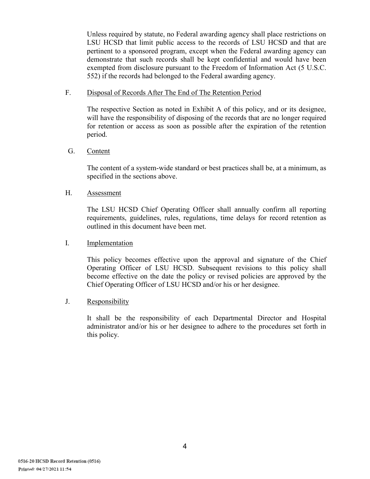Unless required by statute, no Federal awarding agency shall place restrictions on LSU HCSD that limit public access to the records of LSU HCSD and that are pertinent to a sponsored program, except when the Federal awarding agency can demonstrate that such records shall be kept confidential and would have been exempted from disclosure pursuant to the Freedom of Information Act (5 U.S.C. 552) if the records had belonged to the Federal awarding agency.

### F. Disposal of Records After The End of The Retention Period

The respective Section as noted in Exhibit A of this policy, and or its designee, will have the responsibility of disposing of the records that are no longer required for retention or access as soon as possible after the expiration of the retention period.

### G. Content

The content of a system-wide standard or best practices shall be, at a minimum, as specified in the sections above.

### H. Assessment

The LSU HCSD Chief Operating Officer shall annually confirm all reporting requirements, guidelines, rules, regulations, time delays for record retention as outlined in this document have been met.

### I. Implementation

This policy becomes effective upon the approval and signature of the Chief Operating Officer of LSU HCSD. Subsequent revisions to this policy shall become effective on the date the policy or revised policies are approved by the Chief Operating Officer of LSU HCSD and/or his or her designee.

## J. Responsibility

It shall be the responsibility of each Departmental Director and Hospital administrator and/or his or her designee to adhere to the procedures set forth in this policy.